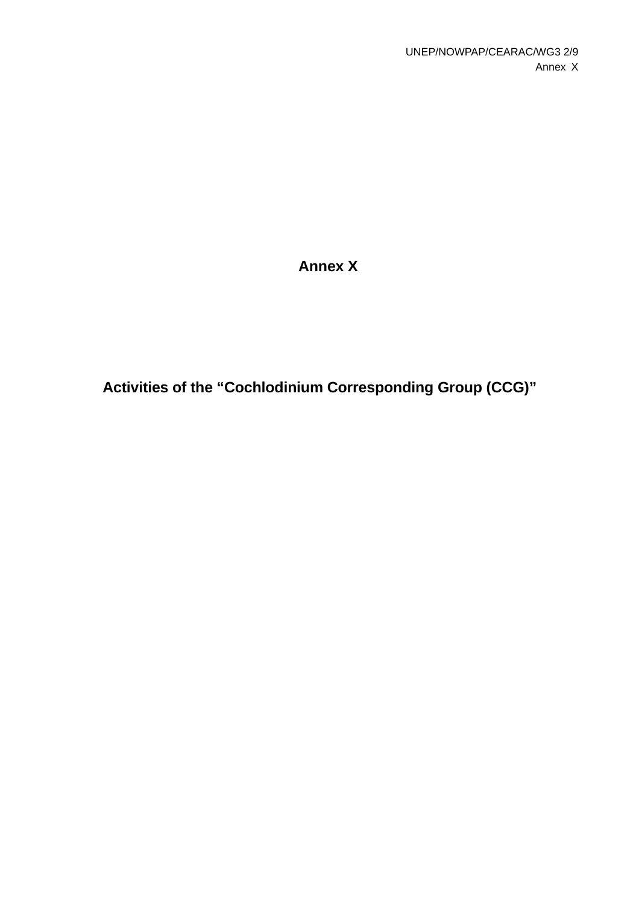# **Annex X**

**Activities of the "Cochlodinium Corresponding Group (CCG)"**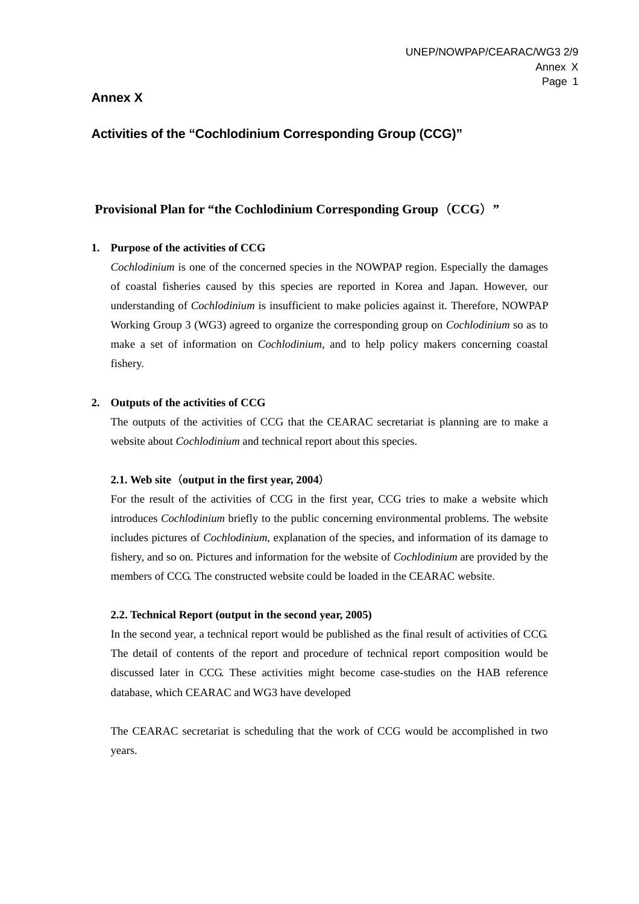# **Annex X**

# **Activities of the "Cochlodinium Corresponding Group (CCG)"**

# **Provisional Plan for "the Cochlodinium Corresponding Group (CCG) "**

#### **1. Purpose of the activities of CCG**

*Cochlodinium* is one of the concerned species in the NOWPAP region. Especially the damages of coastal fisheries caused by this species are reported in Korea and Japan. However, our understanding of *Cochlodinium* is insufficient to make policies against it. Therefore, NOWPAP Working Group 3 (WG3) agreed to organize the corresponding group on *Cochlodinium* so as to make a set of information on *Cochlodinium*, and to help policy makers concerning coastal fishery.

#### **2. Outputs of the activities of CCG**

The outputs of the activities of CCG that the CEARAC secretariat is planning are to make a website about *Cochlodinium* and technical report about this species.

#### **2.1. Web site**(**output in the first year, 2004**)

For the result of the activities of CCG in the first year, CCG tries to make a website which introduces *Cochlodinium* briefly to the public concerning environmental problems. The website includes pictures of *Cochlodinium*, explanation of the species, and information of its damage to fishery, and so on. Pictures and information for the website of *Cochlodinium* are provided by the members of CCG. The constructed website could be loaded in the CEARAC website.

#### **2.2. Technical Report (output in the second year, 2005)**

In the second year, a technical report would be published as the final result of activities of CCG. The detail of contents of the report and procedure of technical report composition would be discussed later in CCG. These activities might become case-studies on the HAB reference database, which CEARAC and WG3 have developed

The CEARAC secretariat is scheduling that the work of CCG would be accomplished in two years.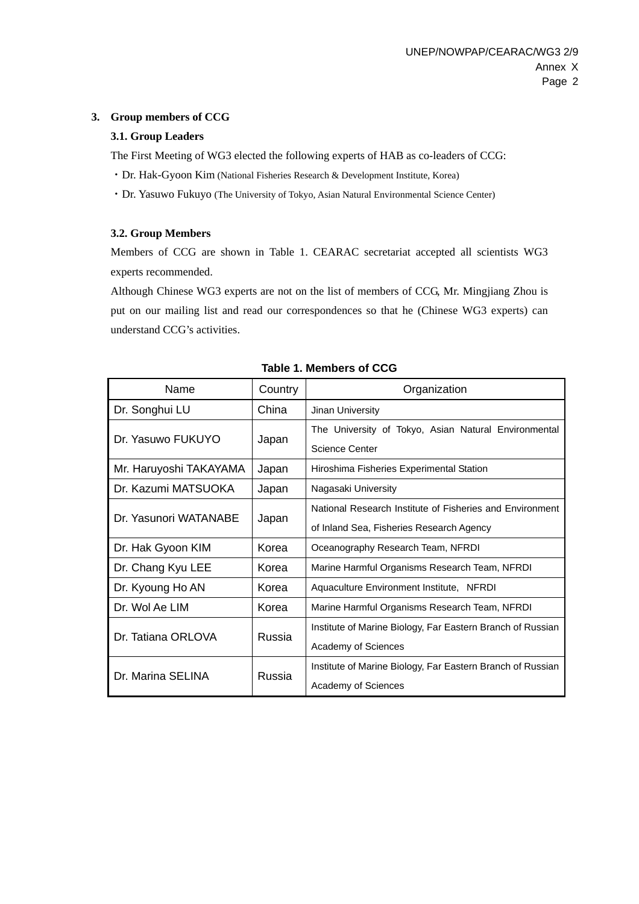#### **3. Group members of CCG**

### **3.1. Group Leaders**

The First Meeting of WG3 elected the following experts of HAB as co-leaders of CCG:

- ・Dr. Hak-Gyoon Kim (National Fisheries Research & Development Institute, Korea)
- ・Dr. Yasuwo Fukuyo (The University of Tokyo, Asian Natural Environmental Science Center)

### **3.2. Group Members**

Members of CCG are shown in Table 1. CEARAC secretariat accepted all scientists WG3 experts recommended.

Although Chinese WG3 experts are not on the list of members of CCG, Mr. Mingjiang Zhou is put on our mailing list and read our correspondences so that he (Chinese WG3 experts) can understand CCG's activities.

| Name                   | Country | Organization                                               |
|------------------------|---------|------------------------------------------------------------|
| Dr. Songhui LU         | China   | Jinan University                                           |
| Dr. Yasuwo FUKUYO      |         | The University of Tokyo, Asian Natural Environmental       |
|                        | Japan   | Science Center                                             |
| Mr. Haruyoshi TAKAYAMA | Japan   | Hiroshima Fisheries Experimental Station                   |
| Dr. Kazumi MATSUOKA    | Japan   | Nagasaki University                                        |
| Dr. Yasunori WATANABE  |         | National Research Institute of Fisheries and Environment   |
|                        | Japan   | of Inland Sea, Fisheries Research Agency                   |
| Dr. Hak Gyoon KIM      | Korea   | Oceanography Research Team, NFRDI                          |
| Dr. Chang Kyu LEE      | Korea   | Marine Harmful Organisms Research Team, NFRDI              |
| Dr. Kyoung Ho AN       | Korea   | Aquaculture Environment Institute, NFRDI                   |
| Dr. Wol Ae LIM         | Korea   | Marine Harmful Organisms Research Team, NFRDI              |
| Dr. Tatiana ORLOVA     | Russia  | Institute of Marine Biology, Far Eastern Branch of Russian |
|                        |         | Academy of Sciences                                        |
| Dr. Marina SELINA      | Russia  | Institute of Marine Biology, Far Eastern Branch of Russian |
|                        |         | Academy of Sciences                                        |

#### **Table 1. Members of CCG**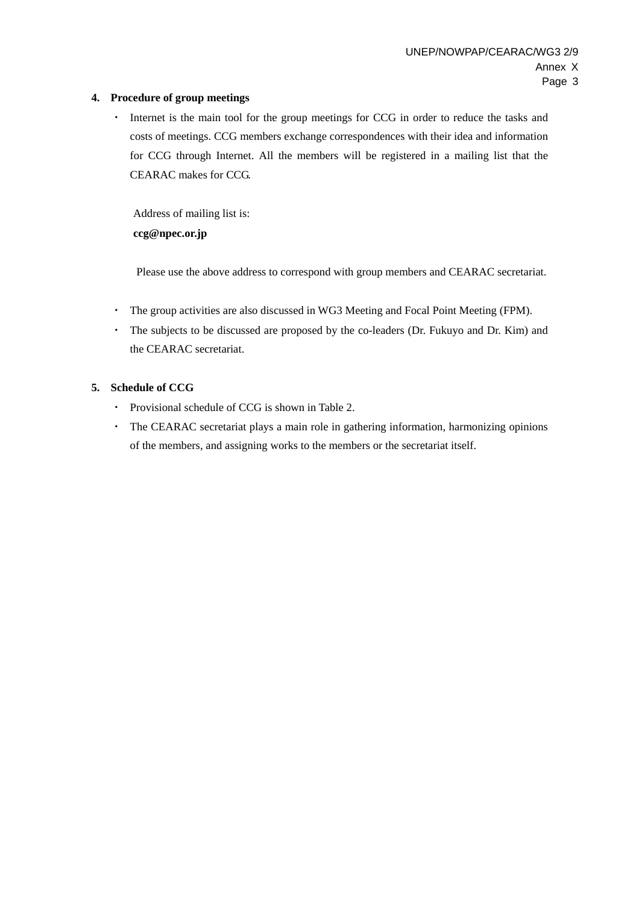### **4. Procedure of group meetings**

・ Internet is the main tool for the group meetings for CCG in order to reduce the tasks and costs of meetings. CCG members exchange correspondences with their idea and information for CCG through Internet. All the members will be registered in a mailing list that the CEARAC makes for CCG.

Address of mailing list is: **ccg@npec.or.jp** 

Please use the above address to correspond with group members and CEARAC secretariat.

- ・ The group activities are also discussed in WG3 Meeting and Focal Point Meeting (FPM).
- ・ The subjects to be discussed are proposed by the co-leaders (Dr. Fukuyo and Dr. Kim) and the CEARAC secretariat.

### **5. Schedule of CCG**

- ・ Provisional schedule of CCG is shown in Table 2.
- ・ The CEARAC secretariat plays a main role in gathering information, harmonizing opinions of the members, and assigning works to the members or the secretariat itself.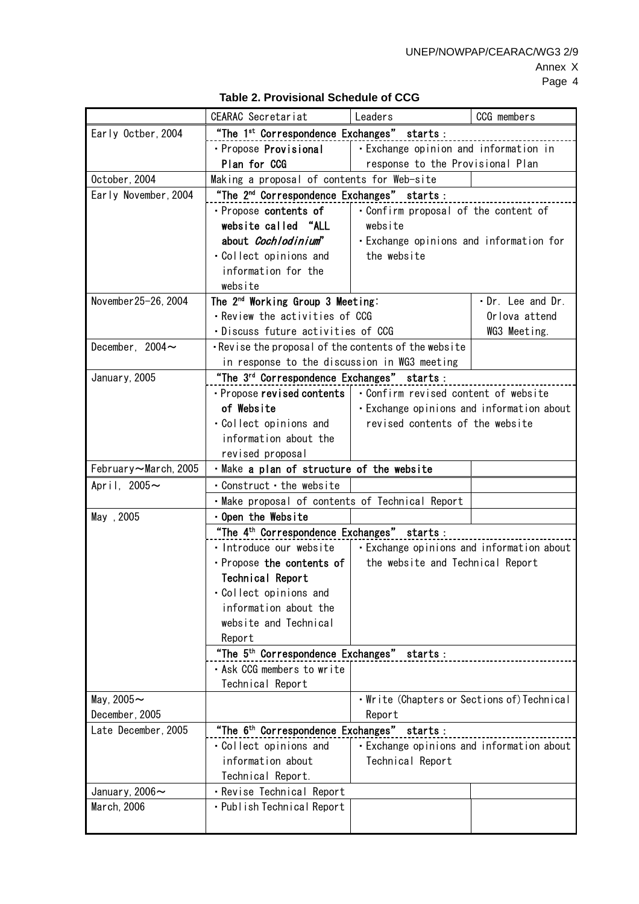UNEP/NOWPAP/CEARAC/WG3 2/9

|                       | CEARAC Secretariat                                                                        | Leaders                                                 | CCG members       |
|-----------------------|-------------------------------------------------------------------------------------------|---------------------------------------------------------|-------------------|
| Early Octber, 2004    | "The 1 <sup>st</sup> Correspondence Exchanges" starts:                                    |                                                         |                   |
|                       | · Propose Provisional                                                                     | $\vert \cdot \vert$ Exchange opinion and information in |                   |
|                       | Plan for CCG                                                                              | response to the Provisional Plan                        |                   |
| October, 2004         | Making a proposal of contents for Web-site                                                |                                                         |                   |
| Early November, 2004  | "The 2 <sup>nd</sup> Correspondence Exchanges" starts :                                   |                                                         |                   |
|                       | · Propose contents of                                                                     | . Confirm proposal of the content of                    |                   |
|                       | website called "ALL                                                                       |                                                         |                   |
|                       | about <i>Cochlodinium</i> "                                                               | · Exchange opinions and information for                 |                   |
|                       | . Collect opinions and                                                                    |                                                         |                   |
|                       | information for the                                                                       |                                                         |                   |
|                       | website                                                                                   |                                                         |                   |
| November 25-26, 2004  | The 2 <sup>nd</sup> Working Group 3 Meeting:                                              |                                                         | . Dr. Lee and Dr. |
|                       | · Review the activities of CCG                                                            |                                                         | Orlova attend     |
|                       | · Discuss future activities of CCG                                                        |                                                         | WG3 Meeting.      |
| December, $2004 \sim$ | . Revise the proposal of the contents of the website                                      |                                                         |                   |
|                       | in response to the discussion in WG3 meeting                                              |                                                         |                   |
| January, 2005         | "The 3 <sup>rd</sup> Correspondence Exchanges" starts:                                    |                                                         |                   |
|                       | • Propose revised contents   • Confirm revised content of website                         |                                                         |                   |
|                       | of Website                                                                                | · Exchange opinions and information about               |                   |
|                       |                                                                                           | revised contents of the website                         |                   |
|                       | · Collect opinions and<br>information about the                                           |                                                         |                   |
|                       |                                                                                           |                                                         |                   |
|                       | revised proposal<br>· Make a plan of structure of the website                             |                                                         |                   |
| February~March, 2005  |                                                                                           |                                                         |                   |
| April, $2005 \sim$    | Construct · the website                                                                   |                                                         |                   |
|                       | · Make proposal of contents of Technical Report                                           |                                                         |                   |
| May, 2005             | · Open the Website                                                                        |                                                         |                   |
|                       | "The 4 <sup>th</sup> Correspondence Exchanges" starts:                                    |                                                         |                   |
|                       | $\cdot$ Introduce our website $\vert \cdot \vert$ Exchange opinions and information about |                                                         |                   |
|                       | $\cdot$ Propose the contents of $\vert$                                                   | the website and Technical Report                        |                   |
|                       | Technical Report                                                                          |                                                         |                   |
|                       | . Collect opinions and                                                                    |                                                         |                   |
|                       | information about the                                                                     |                                                         |                   |
|                       | website and Technical                                                                     |                                                         |                   |
|                       | Report                                                                                    |                                                         |                   |
|                       | "The 5 <sup>th</sup> Correspondence Exchanges" starts:                                    |                                                         |                   |
|                       | . Ask CCG members to write                                                                |                                                         |                   |
|                       | Technical Report                                                                          |                                                         |                   |
| May, $2005 \sim$      |                                                                                           | • Write (Chapters or Sections of) Technical             |                   |
| December, 2005        |                                                                                           | Report                                                  |                   |
| Late December, 2005   | "The 6 <sup>th</sup> Correspondence Exchanges" starts:                                    |                                                         |                   |
|                       | . Collect opinions and                                                                    | · Exchange opinions and information about               |                   |
|                       | information about                                                                         | Technical Report                                        |                   |
|                       | Technical Report.                                                                         |                                                         |                   |
| January, 2006 $\sim$  | · Revise Technical Report                                                                 |                                                         |                   |
| March, 2006           | • Publish Technical Report                                                                |                                                         |                   |
|                       |                                                                                           |                                                         |                   |

# **Table 2. Provisional Schedule of CCG**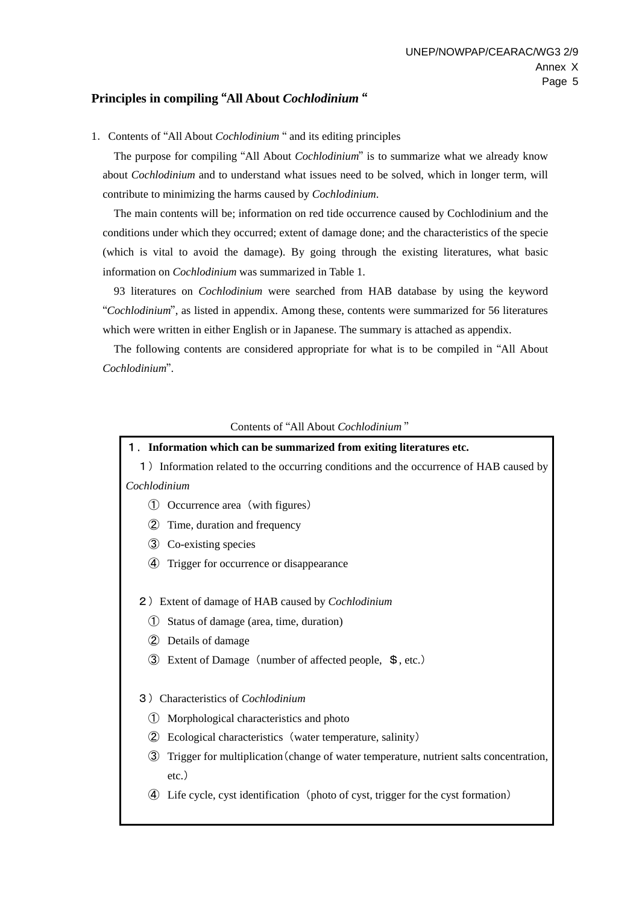# **Principles in compiling** "**All About** *Cochlodinium* "

1.Contents of "All About *Cochlodinium* " and its editing principles

The purpose for compiling "All About *Cochlodinium*" is to summarize what we already know about *Cochlodinium* and to understand what issues need to be solved, which in longer term, will contribute to minimizing the harms caused by *Cochlodinium*.

The main contents will be; information on red tide occurrence caused by Cochlodinium and the conditions under which they occurred; extent of damage done; and the characteristics of the specie (which is vital to avoid the damage). By going through the existing literatures, what basic information on *Cochlodinium* was summarized in Table 1.

93 literatures on *Cochlodinium* were searched from HAB database by using the keyword "*Cochlodinium*", as listed in appendix. Among these, contents were summarized for 56 literatures which were written in either English or in Japanese. The summary is attached as appendix.

The following contents are considered appropriate for what is to be compiled in "All About *Cochlodinium*".

#### Contents of "All About *Cochlodinium* "

#### 1.**Information which can be summarized from exiting literatures etc.**

- 1)Information related to the occurring conditions and the occurrence of HAB caused by *Cochlodinium*
	- ① Occurrence area(with figures)
	- ② Time, duration and frequency
	- ③ Co-existing species
	- ④ Trigger for occurrence or disappearance

2)Extent of damage of HAB caused by *Cochlodinium*

- ① Status of damage (area, time, duration)
- ② Details of damage
- ③ Extent of Damage(number of affected people, \$, etc.)

#### 3)Characteristics of *Cochlodinium*

- ① Morphological characteristics and photo
- ② Ecological characteristics(water temperature, salinity)
- ③ Trigger for multiplication(change of water temperature, nutrient salts concentration, etc.)
- ④ Life cycle, cyst identification(photo of cyst, trigger for the cyst formation)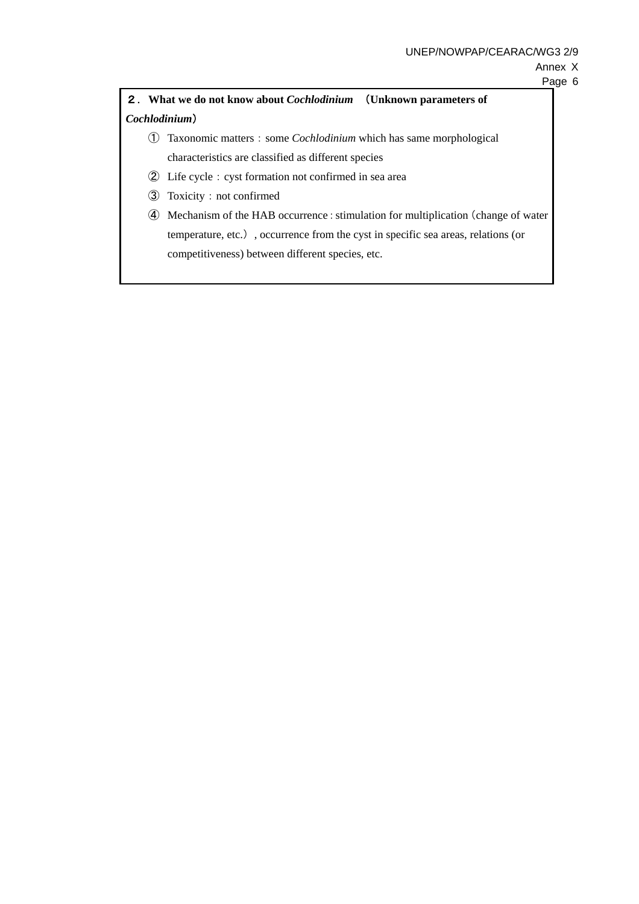# Annex X

# 2.**What we do not know about** *Cochlodinium* (**Unknown parameters of**  *Cochlodinium*)

- ① Taxonomic matters:some *Cochlodinium* which has same morphological characteristics are classified as different species
- ② Life cycle:cyst formation not confirmed in sea area
- ③ Toxicity:not confirmed
- ④ Mechanism of the HAB occurrence:stimulation for multiplication(change of water temperature, etc.), occurrence from the cyst in specific sea areas, relations (or competitiveness) between different species, etc.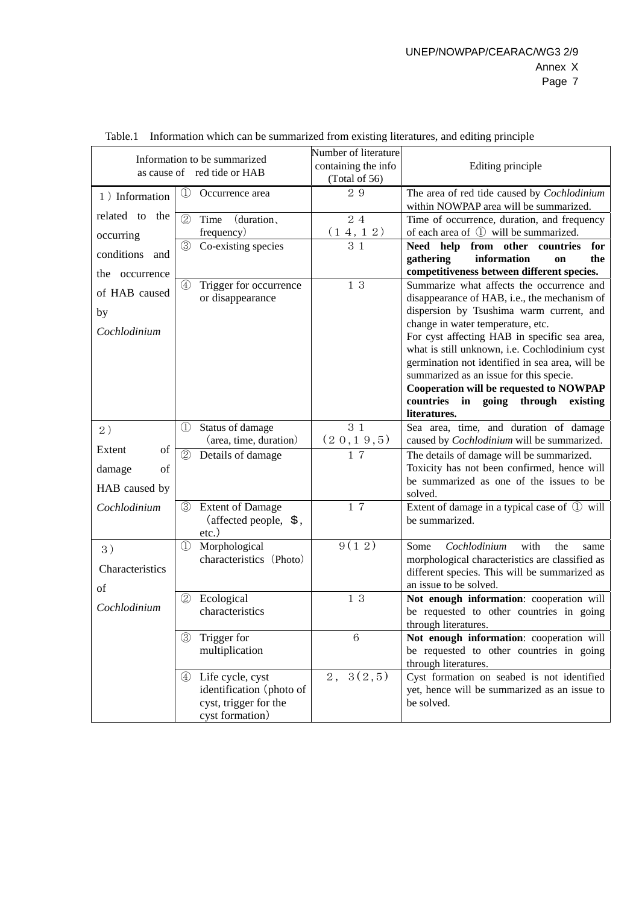|                   | Information to be summarized<br>as cause of red tide or HAB | Number of literature<br>containing the info | Editing principle                                                                     |  |  |  |  |  |  |  |  |  |  |
|-------------------|-------------------------------------------------------------|---------------------------------------------|---------------------------------------------------------------------------------------|--|--|--|--|--|--|--|--|--|--|
|                   |                                                             | (Total of 56)                               |                                                                                       |  |  |  |  |  |  |  |  |  |  |
| 1) Information    | $\mathbb{O}$<br>Occurrence area                             | 29                                          | The area of red tide caused by Cochlodinium<br>within NOWPAP area will be summarized. |  |  |  |  |  |  |  |  |  |  |
| related to<br>the | (2)<br>Time<br>(duration,                                   | 24                                          | Time of occurrence, duration, and frequency                                           |  |  |  |  |  |  |  |  |  |  |
| occurring         | frequency)                                                  | $\frac{(14, 12)}{31}$                       | of each area of ① will be summarized.                                                 |  |  |  |  |  |  |  |  |  |  |
|                   | $\circled{3}$<br>Co-existing species                        |                                             | Need help from other countries<br>for                                                 |  |  |  |  |  |  |  |  |  |  |
| conditions<br>and |                                                             |                                             | information<br>gathering<br>the<br>on                                                 |  |  |  |  |  |  |  |  |  |  |
| the occurrence    |                                                             |                                             | competitiveness between different species.                                            |  |  |  |  |  |  |  |  |  |  |
| of HAB caused     | Trigger for occurrence<br>$\circled{4}$                     | 13                                          | Summarize what affects the occurrence and                                             |  |  |  |  |  |  |  |  |  |  |
|                   | or disappearance                                            |                                             | disappearance of HAB, i.e., the mechanism of                                          |  |  |  |  |  |  |  |  |  |  |
| by                |                                                             |                                             | dispersion by Tsushima warm current, and                                              |  |  |  |  |  |  |  |  |  |  |
| Cochlodinium      |                                                             |                                             | change in water temperature, etc.<br>For cyst affecting HAB in specific sea area,     |  |  |  |  |  |  |  |  |  |  |
|                   |                                                             |                                             | what is still unknown, i.e. Cochlodinium cyst                                         |  |  |  |  |  |  |  |  |  |  |
|                   |                                                             |                                             | germination not identified in sea area, will be                                       |  |  |  |  |  |  |  |  |  |  |
|                   |                                                             |                                             | summarized as an issue for this specie.                                               |  |  |  |  |  |  |  |  |  |  |
|                   |                                                             |                                             | Cooperation will be requested to NOWPAP                                               |  |  |  |  |  |  |  |  |  |  |
|                   |                                                             |                                             | countries in going through existing                                                   |  |  |  |  |  |  |  |  |  |  |
|                   |                                                             |                                             | literatures.                                                                          |  |  |  |  |  |  |  |  |  |  |
| 2)                | $\mathbb{O}$<br>Status of damage                            | 3 1                                         | Sea area, time, and duration of damage                                                |  |  |  |  |  |  |  |  |  |  |
|                   | (area, time, duration)                                      | (20, 19, 5)                                 | caused by <i>Cochlodinium</i> will be summarized.                                     |  |  |  |  |  |  |  |  |  |  |
| Extent<br>of      | (2)<br>Details of damage                                    | 17                                          | The details of damage will be summarized.                                             |  |  |  |  |  |  |  |  |  |  |
| of<br>damage      |                                                             |                                             | Toxicity has not been confirmed, hence will                                           |  |  |  |  |  |  |  |  |  |  |
| HAB caused by     |                                                             |                                             | be summarized as one of the issues to be                                              |  |  |  |  |  |  |  |  |  |  |
|                   |                                                             |                                             | solved.                                                                               |  |  |  |  |  |  |  |  |  |  |
| Cochlodinium      | <b>Extent of Damage</b><br>3                                | 17                                          | Extent of damage in a typical case of ① will                                          |  |  |  |  |  |  |  |  |  |  |
|                   | (affected people, $\$$ ,                                    |                                             | be summarized.                                                                        |  |  |  |  |  |  |  |  |  |  |
|                   | $etc.$ )                                                    |                                             |                                                                                       |  |  |  |  |  |  |  |  |  |  |
| 3)                | Morphological<br>$\mathbb{O}$                               | 9(12)                                       | Some<br>Cochlodinium<br>with<br>the<br>same                                           |  |  |  |  |  |  |  |  |  |  |
| Characteristics   | characteristics (Photo)                                     |                                             | morphological characteristics are classified as                                       |  |  |  |  |  |  |  |  |  |  |
|                   |                                                             |                                             | different species. This will be summarized as<br>an issue to be solved.               |  |  |  |  |  |  |  |  |  |  |
| of                | $\circled{2}$<br>Ecological                                 | 13                                          | Not enough information: cooperation will                                              |  |  |  |  |  |  |  |  |  |  |
| Cochlodinium      | characteristics                                             |                                             | be requested to other countries in going                                              |  |  |  |  |  |  |  |  |  |  |
|                   |                                                             |                                             | through literatures.                                                                  |  |  |  |  |  |  |  |  |  |  |
|                   | Trigger for<br>③                                            | $6\phantom{1}6$                             | Not enough information: cooperation will                                              |  |  |  |  |  |  |  |  |  |  |
|                   | multiplication                                              |                                             | be requested to other countries in going                                              |  |  |  |  |  |  |  |  |  |  |
|                   |                                                             |                                             | through literatures.                                                                  |  |  |  |  |  |  |  |  |  |  |
|                   | 4 Life cycle, cyst                                          | 2, 3(2,5)                                   | Cyst formation on seabed is not identified                                            |  |  |  |  |  |  |  |  |  |  |
|                   | identification (photo of                                    |                                             | yet, hence will be summarized as an issue to                                          |  |  |  |  |  |  |  |  |  |  |
|                   | cyst, trigger for the                                       |                                             | be solved.                                                                            |  |  |  |  |  |  |  |  |  |  |
|                   | cyst formation)                                             |                                             |                                                                                       |  |  |  |  |  |  |  |  |  |  |

| Table.1 Information which can be summarized from existing literatures, and editing principle |  |  |  |
|----------------------------------------------------------------------------------------------|--|--|--|
|                                                                                              |  |  |  |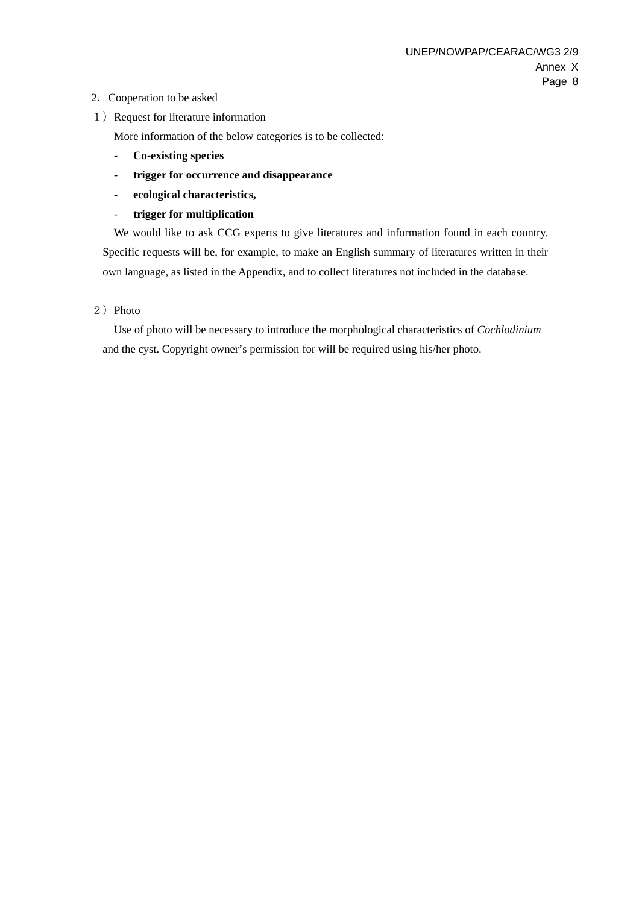### 2.Cooperation to be asked

1) Request for literature information

More information of the below categories is to be collected:

- **Co-existing species**
- **trigger for occurrence and disappearance**
- **ecological characteristics,**
- **trigger for multiplication**

We would like to ask CCG experts to give literatures and information found in each country. Specific requests will be, for example, to make an English summary of literatures written in their own language, as listed in the Appendix, and to collect literatures not included in the database.

2) Photo

Use of photo will be necessary to introduce the morphological characteristics of *Cochlodinium* and the cyst. Copyright owner's permission for will be required using his/her photo.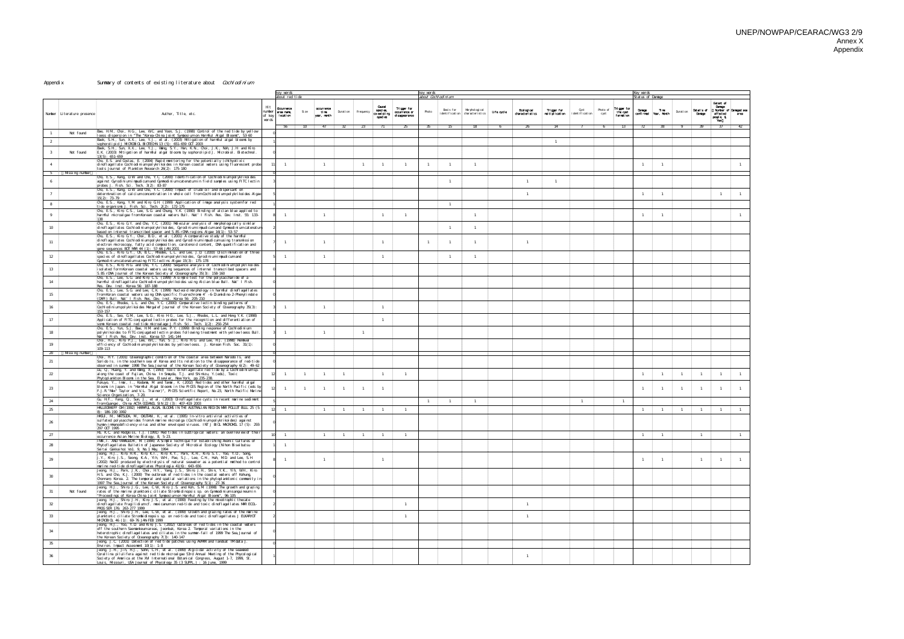#### Appendix Summary of contents of existing literature about Cochlodinium

|                |                              |                                                                                                                                                                                                                                                                                                                                                             |                                    | key vords<br><u>about red tide</u>    |                 |                                  |                |                |                                              |                                                | key words<br><u>about Cochl odi ni um </u> |                |                                                           |            |                               |                               |                            |                  |                                      | Key vørds<br>Status of Danage |                                      |                |                      |                                                          |              |
|----------------|------------------------------|-------------------------------------------------------------------------------------------------------------------------------------------------------------------------------------------------------------------------------------------------------------------------------------------------------------------------------------------------------------|------------------------------------|---------------------------------------|-----------------|----------------------------------|----------------|----------------|----------------------------------------------|------------------------------------------------|--------------------------------------------|----------------|-----------------------------------------------------------|------------|-------------------------------|-------------------------------|----------------------------|------------------|--------------------------------------|-------------------------------|--------------------------------------|----------------|----------------------|----------------------------------------------------------|--------------|
|                | Number   Literature presence | Author, Title, etc.                                                                                                                                                                                                                                                                                                                                         | H <sub>t</sub><br>number<br>of key | Ocurrence<br>area nane,<br>I ocati on | Size            | coorrence<br>time.<br>year manth | Duration       | Frequency      | Causal<br>species.<br>co-existing<br>species | Trigger for<br>coourrence or<br>di sappearance | Photo                                      | Basis for      | Murphol ogi cal<br>i denti fi cati on   characteri sti cs | Life cycle | Exclogical<br>characteristics | Trigger for<br>maitiplication | Ovst<br>i denti fi cati on | Photo of<br>cyst | Trigger for<br>the cyst<br>formation | Danaca                        | <b>Time</b><br>confirmed Year, Manth | Durati on      | Details of<br>Danage | Extent of<br>Danage<br>Number of Danaged see<br>affected |              |
|                |                              |                                                                                                                                                                                                                                                                                                                                                             | vords                              | 56                                    | 10 <sup>1</sup> | 47                               | 32             | 23             |                                              | 25                                             | 35                                         | 15             | 18                                                        | 6          | -26                           | 14                            |                            | - 6              | 13                                   | 72                            | 38                                   | - 9            | 39                   | people, \$<br>Yen<br>-37                                 |              |
|                | Not found                    | Bae, H.M., Choi, H.G., Lee, W.C. and Yoon, S.J. (1998) Control of the red tide by yellow<br><u>loess dispersion in "The "Korea-China Joint Symposium on Harmful Algal Bloons", 53-60 </u><br>Baek, S.H., Sun, X.X., Lee, Y.J., et al. (2003) Mitigation of harmful algal blooms by                                                                          |                                    |                                       |                 |                                  |                |                |                                              |                                                |                                            |                |                                                           |            |                               |                               |                            |                  |                                      |                               |                                      |                |                      |                                                          |              |
| 2<br>3         | Not found                    | sophorolipid J MICROBIOL BIOTECHN 13 (5): 651-659 OCT 2003<br>{Baek, S.H., Sun, X.X., Lee, Y.J., Waing, S.Y., Han, K.N., Choi, J.K., Noh, J.H. and Kim,<br>E.K. (2003) Miltigation of harmful algal blooms by sophorolipid J. Microbiol. Biotechnol.                                                                                                        |                                    |                                       |                 |                                  |                |                |                                              |                                                |                                            |                |                                                           |            |                               | $\overline{1}$                |                            |                  |                                      |                               |                                      |                |                      |                                                          |              |
| $\overline{4}$ |                              | 13(5): 651-659<br>Cho, E.S. and Costas, E. (2004) Rapid momitoring for the potentially ichthyotixic<br>dinoflagellate Cochlodinium polykrikoides in Korean coastal vaters using fluorescent probe<br>tools Journal of Plankton Research 26(2): 175-180                                                                                                      |                                    |                                       |                 |                                  |                | - 1            | - 1                                          | $\overline{1}$                                 |                                            | $\overline{1}$ |                                                           |            |                               |                               |                            |                  |                                      | $\overline{1}$                | $\overline{1}$                       |                |                      |                                                          |              |
| 5<br>6         | Missing number               | (Cho, E.S., Kang, D.W. and Cho, Y.C. (2000) Identification of Cochlodinium polykriko ides<br>against Gyrodinium impudicum and Gymnodinium catenatum in field samples using FITC lectin                                                                                                                                                                      |                                    |                                       |                 |                                  |                |                |                                              |                                                |                                            | $\overline{1}$ |                                                           |            | $\overline{1}$                | $\overline{1}$                |                            |                  |                                      |                               |                                      |                |                      |                                                          |              |
|                |                              | probes J. Fish. Sci. Tech. 3(2): 83-87<br>{Cho, E.S., Kang, D.W. and Cho, Y.C. (2000) Impact of crude oil and dispersant on<br>determination of calcium concentration in whole cell from Cochlodinium polykriko ides Algae<br>15(2): 73-79                                                                                                                  |                                    |                                       |                 |                                  |                |                |                                              |                                                |                                            |                |                                                           |            | $\mathbf{1}$                  |                               |                            |                  |                                      | - 1                           | $\overline{1}$                       |                |                      |                                                          |              |
| 8              |                              | (Cho, E.S., Kang, Y.M. and Kim, G.H. (1999) Application of image analysis system for red<br>tide organisms J. Fish. Sci. Tech. 2(2): 172-175.                                                                                                                                                                                                               |                                    |                                       |                 |                                  |                |                |                                              |                                                |                                            | $\overline{1}$ |                                                           |            |                               |                               |                            |                  |                                      |                               |                                      |                |                      |                                                          |              |
| 9              |                              | }Cho, E.S., Kim, C.S., Lee, S.G. and Chung, Y.K. (1990) Binding of alcian blue applied to<br>harmful microalgae from Korean coastal voaters Bull. Nat I Fish. Res. Dev. Inst. 55: 133-                                                                                                                                                                      |                                    |                                       |                 | -1                               |                |                |                                              | $\overline{1}$                                 |                                            |                | $\blacksquare$                                            |            |                               |                               |                            |                  |                                      | $\overline{1}$                | $\overline{1}$                       |                |                      |                                                          |              |
| 10             |                              | Cho, E.S., Kim, G.Y. and Cho, Y.C. (2001) Mollecular analysis of momphologically similar<br>di nofl agel I ates Cochl odi ni um pol ykri koi des, Gyrodi ni um i npudi cum and Gynmodi ni um catenatum<br>based on internal transcribed spacer and 5.8S rDNA regions Algae 16(1): 53-57                                                                     |                                    |                                       |                 |                                  |                |                |                                              |                                                |                                            | $\overline{1}$ |                                                           |            |                               |                               |                            |                  |                                      |                               |                                      |                |                      |                                                          |              |
| 11             |                              | Cho, E.S., Kim, G.Y., Choi, B.D., et al. (2001) A comparative study of the harmful<br>di nofl agel lates Cochl odi ni um polykri koi des and Gyrodi ni um i mpudi cum usi ng transmissi on<br>el ectron microscopy, fatty acid composition, carotenoid content, DNA quantification and<br>gene sequences BOT MAR 44 (1): 57-66 JAN 2001                     |                                    |                                       |                 |                                  |                |                |                                              |                                                | -1                                         | $\overline{1}$ |                                                           |            | $\mathbf{1}$                  |                               |                            |                  |                                      |                               |                                      |                |                      |                                                          |              |
| 12             |                              | Oho, E.S., Kim, G.Y., Oh, B.C., Rhodes, L.L. and Lee, J.D. (2000) Discrimination of three<br>species of dinoflagellates Cochlodinium polykrikoides, Gyrodinium impudicum and<br>Gynmodinium catenatum using FITC-lectins Algae 15(3): 175-178                                                                                                               |                                    |                                       |                 | $\mathbf{1}$                     |                |                | $\overline{1}$                               |                                                |                                            | $\overline{1}$ |                                                           |            |                               |                               |                            |                  |                                      |                               |                                      |                |                      |                                                          |              |
| 13             |                              | Oho, E.S., Kim, H.G. and Oho, Y.C. (2000) Sequence analysis of Cochlodinium polykriko ides<br>i solated form Korean coastal vaters using sequences of internal transcribed spacers and<br>5.8S rDNA Journal of the Korean Society of Oceanography 35(3): 158-160                                                                                            |                                    |                                       |                 |                                  |                |                |                                              |                                                |                                            |                |                                                           |            |                               |                               |                            |                  |                                      |                               |                                      |                |                      |                                                          |              |
| 14             |                              | (Cho, E.S., Lee, S.G. and Kim, C.S. (1999) A simple test for the polysaccharide of a<br>harmful dino flagellate Cochlodinium polykriko ides using Alcian blue Bull. Nat I Fish.<br>Res. Dev. Inst. Korea 56 187-188<br>(Cho, E.S., Lee, S.G. and Lee, C.K. (1999) Nucleoid momphology in harmful dinoflagellates                                            |                                    |                                       |                 |                                  |                |                |                                              |                                                |                                            |                |                                                           |            |                               |                               |                            |                  |                                      |                               |                                      |                |                      |                                                          |              |
| 15             |                              | from Koran coastal vaters using DNA-specific fluorechrome 4 -6-Diamidino-2-Phenylindole<br>(DAPI) Buil. Nat I Fish. Res. Dev. Inst. Korea 56: 205-210.<br>Cho, E.S., Rhodes, L.L. and Cho, Y.C. (2000) Comparative lectin binding patterns of                                                                                                               |                                    |                                       |                 |                                  |                |                |                                              |                                                |                                            |                |                                                           |            |                               |                               |                            |                  |                                      |                               |                                      |                |                      |                                                          |              |
| 16             |                              | : (Cochl odi ni um pol ykri koi des Murgal ef Journal of the Korean Soci ety of Oceanography 35(3) <br>153-157<br>Oho, E.S., Seo, G.M., Lee, S.G., Kim, H.G., Lee, S.J., Rhodes, L.L. and Hong Y.K. (1998)                                                                                                                                                  |                                    |                                       |                 |                                  |                |                | $\overline{1}$                               |                                                |                                            |                |                                                           |            |                               |                               |                            |                  |                                      |                               |                                      |                |                      |                                                          |              |
| 17             |                              | Application of FITC-conjugated lectin probes for the recognition and differentiation of<br>sone Korean coastal red tide microal age J. Fish Sci. Tech. 1(2): 250-254<br>Cho, E.S., Yun, S.J. Bae, H.M. and Lee, P.Y. (1999) Binding response of Cochlodinium                                                                                                |                                    |                                       |                 |                                  |                |                |                                              |                                                |                                            |                |                                                           |            |                               |                               |                            |                  |                                      |                               |                                      |                |                      |                                                          |              |
| 18             |                              | (polykrikoides to FITC-conjugated lectin probes following treatment with yellow loess Bull<br>Nat I Fish. Res. Dev. Inst. Korea 57: 141-144<br>Choi, HG, Kim, P.J., Lee, WC, Yun, S.J., Kim, HG and Lee, HJ. (1998) Renoval                                                                                                                                 |                                    |                                       |                 |                                  |                |                |                                              |                                                |                                            |                |                                                           |            |                               |                               |                            |                  |                                      |                               |                                      |                |                      |                                                          |              |
| 19<br>20       | Missing number               | efficiency of Cochlodinium polykrikoides by yellow loess. J. Korean Fish. Soc. 31(1):<br>109-113                                                                                                                                                                                                                                                            |                                    |                                       |                 |                                  |                |                |                                              |                                                |                                            |                |                                                           |            |                               |                               |                            |                  |                                      |                               |                                      |                |                      |                                                          |              |
| 21             |                              | (Choi, H.Y. (2001) Oceanographic condition of the coastal area between Narodo Is. and<br>Sorido Is. in the southern sea of Korea and Its relation to the disappearance of red-tide<br>observed in summer 1998 The Sea, Journal of the Korean Society of Oceanography 6(2): 49-62                                                                            |                                    |                                       |                 |                                  |                |                |                                              |                                                |                                            |                |                                                           |            |                               |                               |                            |                  |                                      |                               |                                      |                |                      |                                                          |              |
| $22\,$         |                              | (Du, Q, Huang, Y. and Waing, X. (1993) Toxic dino flagellate red tide by a Cochlodinium sp.<br>along the coast of Fujian, China. In Snayda, T.J. and Shimizu, Y. (eds), Toxic<br>Phytoplankton Blooms in the Sea. Elsevier, New York, pp. 235-238.<br>Fukuyo, Y., Inai, I., Kodana, M. and Tanai, K. (2002) Red tides and other harnfiul algal              |                                    | $\mathbf{1}$                          | $\mathbf{1}$    | $\mathbf{1}$                     | $\overline{1}$ |                | $\overline{1}$                               | $\overline{1}$                                 |                                            |                |                                                           |            |                               |                               |                            |                  |                                      | $\overline{1}$                | $\overline{1}$                       | $\overline{1}$ | $\overline{1}$       |                                                          |              |
| 23             |                              | blooms in Japan. in "Harmful Algal blooms in the PICES Region of the North Pacific (eds by<br>F. J. R. "Max" Taylor and V. L. Trainer)", PIOES Scientfic Report, No. 23, North Pacific Marine. [<br>Science Organization, 7-20.                                                                                                                             |                                    | $\overline{1}$                        |                 | $\mathbf{1}$                     |                |                |                                              |                                                |                                            |                |                                                           |            |                               |                               |                            |                  |                                      | $\overline{1}$                | $\overline{1}$                       | $\overline{1}$ | $\overline{1}$       |                                                          |              |
| 24             |                              | Qu, H.F., Fang, Q., Sun, J., et al. (2003) Dino flagellate cysts in recent marine sediment<br>from Quangxi, China ACTA OOEANOL SIN 22 (3): 407-419 2003                                                                                                                                                                                                     |                                    |                                       |                 |                                  |                |                |                                              |                                                | $\overline{1}$                             | $\overline{1}$ | $\overline{1}$                                            |            |                               |                               | $\overline{1}$             |                  | $\overline{1}$                       |                               |                                      |                |                      |                                                          |              |
| 25             |                              | HALLEGRAEFF GM (1992) HARVFUL ALGAL BLOOVS IN THE AUSTRALIAN REGION MAR POLLUT BULL 25 (5-<br>8: 186-190 1992<br>HASUI, M, MATSUDA, M, OKUTANI, K, et al. (1995) In-vitro antiviral activities of<br>sul fated pol vsaccharides from Almarine microal ga (Oochlodinium pol vkrikoides) against                                                              |                                    |                                       |                 | $\mathbf{1}$                     | $\overline{1}$ |                | $\overline{1}$                               | $\overline{1}$                                 |                                            |                |                                                           |            |                               |                               |                            |                  |                                      | $\overline{1}$                | $\overline{1}$                       | $\overline{1}$ | $\overline{1}$       | $\overline{1}$                                           |              |
| 26             |                              | hunan-immuno deficiency-virus and other enveloped viruses. INT J BIOL MACROVOL 17 (5): 293-<br>297 OCT 1995<br>Hb, K.C. and Hodgkiss, I.J. (1991) Red tides in subtropical vaters: an overreview of their                                                                                                                                                   |                                    |                                       |                 |                                  |                |                |                                              |                                                |                                            |                |                                                           |            |                               |                               |                            |                  |                                      |                               |                                      |                |                      |                                                          |              |
| 27             |                              | occurrence Asian Marine Biology, 8, 5-23.<br>IMI, I. AND YANAGUCH, M. (1994) A Simple Technique for Establishing Axenic Cultures of                                                                                                                                                                                                                         |                                    |                                       |                 | $\mathbf{1}$                     | $\overline{1}$ | $\overline{1}$ | $\overline{1}$                               | $\overline{1}$                                 |                                            |                |                                                           |            |                               |                               |                            |                  |                                      | $\mathbf{1}$                  | $\overline{1}$                       |                | $\overline{1}$       |                                                          | $\mathbf{1}$ |
| 28             |                              | Phytoflagellates Bulletin of Japanese Society of Microbial Ecology (Nihon Biseibutsu<br>Seitai Gakkaiho) Vo1. 9, No. 1 May, 1994<br>jJeong, HJ., Kim, HR., Kim, K.I., Kim, K.Y., Park, K.H., Kim, S.T., Yoo, Y.D., Song,                                                                                                                                    |                                    |                                       |                 |                                  |                |                |                                              |                                                |                                            |                |                                                           |            |                               |                               |                            |                  |                                      |                               |                                      |                |                      |                                                          |              |
| 29             |                              | J.Y., Kim, J.S., Seong, K.A., Yih, W.H., Pae, S.J., Lee, C.H., Huh, M.D. and Lee, S.H.<br>(2002) NaO Cl produced by electrolysis of natural seavater as a potential nethod to control<br><u>marine red-tide dinoflagellates Phycologia 41(6): 643-656.</u>                                                                                                  |                                    |                                       |                 |                                  |                |                |                                              |                                                |                                            |                |                                                           |            |                               |                               |                            |                  |                                      | $\overline{1}$                | $\overline{1}$                       |                |                      |                                                          | $\mathbf{1}$ |
| 30             |                              | Jeong, H.J., Park, J.K., Choi, H.Y., Yang, J.S., Shim, J.H., Shin, Y.K., Yih, W.H., Kim,<br>H.S. and Cho, K.J. (2000) The outbreak of red tides in the coastal vaters off Kohung,<br>Chomnam, Korea. 2. The temporal and spatial variations in the phytoplanktonic community in}<br>1997 The Sea, Journal of the Korean Society of Oceanography 5(1): 27-36 |                                    |                                       |                 |                                  |                |                |                                              |                                                |                                            |                |                                                           |            |                               |                               |                            |                  |                                      |                               |                                      |                |                      |                                                          |              |
| 31             | Not found                    | Jeong, H.J., Shim, J.G., Lee, C.W., Kim, J.S. and Koh, S.M. (1998) The growth and grazing<br>rates of the marine planktonic ciliate Strombidino psis sp. on Gymnodinium sanguineum in<br>"Proceedings of Korea-China Joint Symposium on Harmful Algal Blooms", 96-105                                                                                       |                                    |                                       |                 |                                  |                |                |                                              |                                                |                                            |                |                                                           |            |                               |                               |                            |                  |                                      |                               |                                      |                |                      |                                                          |              |
| 32             |                              | Jeong, HJ., Shim, J.H, Kim, J.S., et al. (1999) Feeding by the mixotrophic thecate<br>dino flagellate Fragilidium cf. nexicanum on red-tide and toxic dino flagellates MARECOL-<br>PROG SER 176 263-277 1999<br>Jeong, HJ., Shim, J.H, Lee, C.W., et al. (1999) Growth and grazing rates of the marine                                                      |                                    |                                       |                 |                                  |                |                |                                              | $\overline{1}$                                 |                                            |                |                                                           |            | $\mathbf{1}$                  |                               |                            |                  |                                      |                               |                                      |                |                      |                                                          |              |
| 33             |                              | planktonic ciliate Strombidino psis sp. on red-tide and toxic dino flagellates JEUKARYOT]<br>MIOROBIOL 46 (1): 69-76 JAN-FEB 1999<br>Jeong, H.J., Yoo, Y.D. and Kim, J.S. (2002) Outbreak of red tides in the coastal vaters                                                                                                                                |                                    |                                       |                 |                                  |                |                |                                              | $\overline{1}$                                 |                                            |                |                                                           |            | $\mathbf{1}$                  |                               |                            |                  |                                      |                               |                                      |                |                      |                                                          |              |
| 34             |                              | off the southern Saemankeum areas, Jeonbuk, Korea 2. Temporal variations in the<br>heterotrophic dinoflagellates and ciliates in the summer-fall of 1999 The Sea, Journal of<br>the Korean Society of Oceanography 7(3): 140-147                                                                                                                            |                                    |                                       |                 |                                  |                |                |                                              |                                                |                                            |                |                                                           |            |                               |                               |                            |                  |                                      |                               |                                      |                |                      |                                                          |              |
| 35             |                              | Jeong, J.C. (2001) Detection of red tide patches using AVHRR and landsat TM data J.<br>Environ. Inpact Assesment 10(1): 1-8                                                                                                                                                                                                                                 |                                    |                                       |                 |                                  |                |                |                                              |                                                |                                            |                |                                                           |            |                               |                               |                            |                  |                                      |                               |                                      |                |                      |                                                          |              |
| 36             |                              | Jeong, J.H, Jin, H.J., Sohn, C.H, et al. (1999) Algicidal activity of the seaweed<br>Corallina pilulifera against red tide microalgae 53rd Annual Meeting of the Phycological<br>Society of America at the XM International Botanical Congress, August 1-7, 1999, St.<br>Louis, Missouri, USA Journal of Phycology 35 (3 SUPPL.) : 16 June, 1999            |                                    |                                       |                 |                                  |                |                |                                              |                                                |                                            |                |                                                           |            | $\mathbf{1}$                  |                               |                            |                  |                                      |                               |                                      |                |                      |                                                          |              |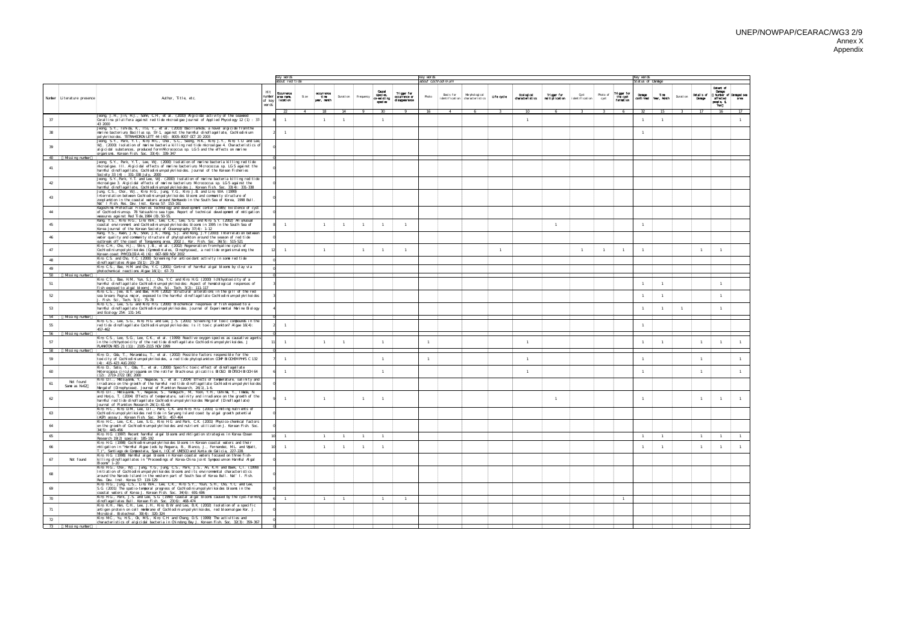|          |                              |                                                                                                                                                                                                                                                                                                                            |                                 | key vords                                     |                                     |                |                | key vørds                                   |                                                |                       |                                                                |              |                                   |                               |                            |                         |                                      | Key vords            |                               |                |                      |                                                                                 |
|----------|------------------------------|----------------------------------------------------------------------------------------------------------------------------------------------------------------------------------------------------------------------------------------------------------------------------------------------------------------------------|---------------------------------|-----------------------------------------------|-------------------------------------|----------------|----------------|---------------------------------------------|------------------------------------------------|-----------------------|----------------------------------------------------------------|--------------|-----------------------------------|-------------------------------|----------------------------|-------------------------|--------------------------------------|----------------------|-------------------------------|----------------|----------------------|---------------------------------------------------------------------------------|
|          |                              |                                                                                                                                                                                                                                                                                                                            |                                 | about red tide                                |                                     |                |                |                                             |                                                | about Cochl odi ni um |                                                                |              |                                   |                               |                            |                         |                                      | Status of Danage     |                               |                |                      | Extent of                                                                       |
|          | Number   Literature presence | Author, Title, etc.                                                                                                                                                                                                                                                                                                        | Ht<br>number<br>of key<br>vørds | Occurrence<br>area name,<br>Si ze<br>location | occurrence<br>time.<br>ivear, manth | Duration       | Frequency      | Quant<br>species,<br>co existing<br>species | Trigger for<br>cccurrence or<br>di sappearance | Photo                 | Murphol ogi cal<br>Basis for<br>identification characteristics | Life cycle   | Ecological<br>characteristics     | Trigger for<br>meltipiication | Cyst<br>i denti fi cati on | Photo of<br>cyst        | Trigger for<br>the cyst<br>formation | Danage               | Time<br>confirmed Year, Manth | Durati on      | Details of<br>Danage | <b>Danage</b><br>Number of Danaged ser<br>affected<br>area<br>neanie, \$<br>Yen |
| 37       |                              | Jeong, J.H., Jin, H.J., Sohn, C.H., et al. (2000) Algicidal activity of the seaweed<br>Corallina pilulifera against red tide microalgae Journal of Applied Phycology 12 (1): 37-                                                                                                                                           |                                 | 22<br>$\overline{4}$                          | 18                                  | 14             |                | 9 30                                        | - 9                                            | 16                    | $\overline{4}$<br>-6                                           | $\mathbf{R}$ | 10 <sup>°</sup><br>$\overline{1}$ | 6                             | $\overline{\mathbf{3}}$    | $\overline{\mathbf{3}}$ | 6                                    | 32<br>$\overline{1}$ | 15<br>$\overline{1}$          |                | $\overline{3}$ 17    | 16<br>17                                                                        |
| 38       | 43 2000                      | Jeong, S.Y., Ishida, K., Ito, Y., et al. (2003) Bacillannide, a novel algicide from the<br>marine bacterium, Bacillus sp. SY-1, against the harmful dinoflagellate, Cochlodinium.                                                                                                                                          |                                 |                                               |                                     |                |                |                                             |                                                |                       |                                                                |              |                                   |                               |                            |                         |                                      | $\overline{1}$       |                               |                |                      |                                                                                 |
|          |                              | polykrikoides. TETRAHEDRON LETT 44 (43): 8005-8007 OCT 20 2003<br>Jeong, S.Y., Park, Y.T., Kim, M.C., Choi, S.C., Seong, H.K., Kim, J.Y., Kim, T.U. and Lee,                                                                                                                                                               |                                 |                                               |                                     |                |                |                                             |                                                |                       |                                                                |              |                                   |                               |                            |                         |                                      |                      |                               |                |                      |                                                                                 |
| 39       |                              | W.J. (2000) Isolation of marine bacteria killing red tide microalgae 4. Characteristics of<br>algicidal substances, produced form Micrococcus sp. LG-5 and the effects on marine<br>organisms. Korean Fish. Soc. 33(4): 339-347                                                                                            |                                 |                                               |                                     |                |                |                                             |                                                |                       |                                                                |              |                                   |                               |                            |                         |                                      |                      |                               |                |                      |                                                                                 |
|          | 40 Missing number            | Jeong, S.Y., Park, Y.T., Lee, W.J. (2000) Isolation of marine bacteria killing red tide                                                                                                                                                                                                                                    |                                 |                                               |                                     |                |                |                                             |                                                |                       |                                                                |              |                                   |                               |                            |                         |                                      |                      |                               |                |                      |                                                                                 |
| 41       |                              | micro algae. III. Algicidal effects of marine bacterium, Micrococcus sp. LG-5 against the<br>harmful dinoflagellate, Cochlodinium polykrikoides. Journal of the Korean Fisheries,<br>Society 33 (4): 331-338 July, 2000                                                                                                    |                                 |                                               |                                     |                |                |                                             |                                                |                       |                                                                |              |                                   |                               |                            |                         |                                      |                      |                               |                |                      |                                                                                 |
| 42       |                              | Jeong, S.Y., Park, Y.T. and Lee, W.J. (2000) Isolation of marine bacteria killing red tide<br>micro algae 3. Algicidal effects of marine bacterium, Micro coccus sp. LG-5 against the<br>harmful di noflagellate, Cochlodinium polykrikoides J. Korean Fish. Soc. 33(4): 331-338                                           |                                 |                                               |                                     |                |                |                                             |                                                |                       |                                                                |              |                                   |                               |                            |                         |                                      |                      |                               |                |                      |                                                                                 |
| 43       |                              | Jung, C.S., Choi, W.J., Kim, H.G., Jung, Y.G., Kim, J.B. and Lim, W.A. (1999)<br>Interrelation between Cochlodinium polykrikoides blooms and community structure of<br>zooplankton in the coastal vaters around Nanhaedo in the South Sea of Korea, 1998 Bull<br>Nat I Fish. Res. Dev. Inst. Korea 57: 153-161             |                                 |                                               |                                     |                |                |                                             |                                                |                       |                                                                |              |                                   |                               |                            |                         |                                      |                      |                               |                |                      |                                                                                 |
| 44       |                              | Kagoshina Prefectual Fisheries Technology and development center (1985) Existence of cyst<br>of Cochlodiniumsp. 78 Yatsushiro sea type. Report of technical development of mitigation<br>veasures against Red Tide, 1984 (B). 50-55.                                                                                       |                                 |                                               |                                     |                |                |                                             |                                                |                       |                                                                |              |                                   |                               |                            |                         |                                      |                      |                               |                |                      |                                                                                 |
| 45       |                              | Kang, Y.S., Kim, H.G., Lim, W.A., Lee, C.K., Lee, S.G. and Kim, S.Y. (2002) An unusual<br>coastal environnent and Cochlodinium polykrikoides bloons in 1995 in the South Sea of<br>Korea Journal of the Korean Society of Oceanography 37(4): 1-12                                                                         |                                 |                                               |                                     |                |                | $\overline{1}$                              | $\overline{1}$                                 |                       |                                                                |              |                                   | $\overline{1}$                |                            |                         |                                      | $\overline{1}$       |                               |                |                      |                                                                                 |
| 46       |                              | (Kang, Y.S., Kwon, J.N., Shon, J.K., Hong, S.J. and Kong, J.Y (2003) Interrelation between<br>water quality and community structure of phytoplankton around the season of red tide<br>outbreak off the coast of Tongyeong area, 2002 J. Kor. Fish. Soc. 36(5): 515-521                                                     |                                 |                                               |                                     |                |                |                                             |                                                |                       |                                                                |              |                                   |                               |                            |                         |                                      |                      |                               |                |                      |                                                                                 |
| 47       |                              | Kim, C.H., Oho, H.J., Shin, J.B., et al. (2002) Regeneration from hyaline cysts of<br>(Cochl odi ni um pol ykri koi des (Gynmodi ni al es, Di nophyceae), a red ti de organi smal ong the<br>Korean coast PHYCOLOGIA 41 (6): 667-669 NOV 2002                                                                              |                                 |                                               |                                     |                |                | $\overline{1}$                              | $\overline{1}$                                 |                       |                                                                | $\mathbf{1}$ |                                   |                               |                            |                         | $\overline{1}$                       | $\overline{1}$       |                               |                | $\mathbf{1}$         |                                                                                 |
| 48       |                              | Kim, C.S. and Oho, Y.C. (2000) Screening for antioxidant activity in some red tide<br>din of lagel lates Algae 15(1): 23-28                                                                                                                                                                                                |                                 |                                               |                                     |                |                |                                             |                                                |                       |                                                                |              |                                   |                               |                            |                         |                                      |                      |                               |                |                      |                                                                                 |
| 49       | 50 Missing number            | Kim, C.S., Bae, H.M. and Cho, Y.C. (2001) Control of harmful algal blooms by clay via<br>photochemical reactions Algae 16(1): 67-73                                                                                                                                                                                        |                                 |                                               |                                     |                |                |                                             |                                                |                       |                                                                |              |                                   |                               |                            |                         |                                      |                      |                               |                |                      |                                                                                 |
| 51       |                              | Kim, C.S., Bae, H.M., Yun, S.J., Oho, Y.C. and Kim, H.G. (2000) lchthyotoxicity of a<br>harmful dinoflagellate Cochlodinium polykriko ides: Aspect of hematological responses of<br>fish exposed to algal bloom J. Fish. Sci. Tech. 3(2): 111-117                                                                          |                                 |                                               |                                     |                |                |                                             |                                                |                       |                                                                |              |                                   |                               |                            |                         |                                      | $\overline{1}$       | $\overline{1}$                |                |                      |                                                                                 |
| 52       |                              | Kim, C.S., Jee, B.Y. and Bae, H.M. (2002) Structural alterations in the gill of the red<br>sea bream, Pagrus major, exposed to the harmful dinoflagellate Cochlodinium polykriko ides<br>J. Fish. Sci, Tech. 5(1): 75-78.                                                                                                  |                                 |                                               |                                     |                |                |                                             |                                                |                       |                                                                |              |                                   |                               |                            |                         |                                      | $\overline{1}$       | $\overline{1}$                |                |                      |                                                                                 |
| 53       |                              | Kim, C.S., Lee, S.G. and Kim, H.G. (2000) Bilochemical responses of fish exposed to a<br>harmful dinoflagellate Cochlodinium polykriko ides. Journal of Experimental Marine Biology)<br>and Ecology 254: 131-141                                                                                                           |                                 |                                               |                                     |                |                |                                             |                                                |                       |                                                                |              |                                   |                               |                            |                         |                                      | $\overline{1}$       | $\overline{1}$                | $\overline{1}$ |                      |                                                                                 |
|          | 54 Missing number            | Kim, C.S., Lee, S.G., Kim, H.G. and Lee, J.S. (2001) Screening for toxic compounds in the                                                                                                                                                                                                                                  |                                 |                                               |                                     |                |                |                                             |                                                |                       |                                                                |              |                                   |                               |                            |                         |                                      | $\overline{1}$       |                               |                |                      |                                                                                 |
| 55       | 457-462<br>56 Missing number | red tide dino flagellate Cochlodinium polykriko ides: Is it toxic plankton? Algae 16(4):                                                                                                                                                                                                                                   |                                 |                                               |                                     |                |                |                                             |                                                |                       |                                                                |              |                                   |                               |                            |                         |                                      |                      |                               |                |                      |                                                                                 |
| 57<br>58 | Missing number               | Kim, C.S., Lee, S.G., Lee, C.K., et al. (1999) Reactive oxygen species as causative agents<br>in the ichthyotoxicity of the red tide dinoflagellate Cochlodinium polykrikoides. J<br>PLANKTON RES 21 (11): 2105-2115 NOV 1999                                                                                              |                                 |                                               |                                     |                |                | $\overline{1}$                              |                                                |                       |                                                                |              | $\overline{1}$                    |                               |                            |                         |                                      | $\overline{1}$       | $\overline{1}$                |                | $\overline{1}$       |                                                                                 |
| 59       |                              | Kim, D., Oda, T., Muramatsu, T., et al. (2002) Possible factors responsible for the<br>toxicity of Cochlodinium polykrikoides, a red tide phytoplankton COMP BIOOHEMPHYS C 132<br>(4): 415-423 AUG 2002                                                                                                                    |                                 |                                               |                                     |                |                | $\overline{1}$                              |                                                |                       |                                                                |              | $\overline{1}$                    |                               |                            |                         |                                      | $\overline{1}$       |                               |                | $\mathbf{1}$         |                                                                                 |
| 60       |                              | Kim, D, Sato, Y., Oda, T., et al. (2000) Specific toxic effect of dinoflagellate<br>Hetero capsa circularisquama on the rotifer Brachionus plicatilis BIO SOI BIO TECH BIO CH 64<br>(12): 2719-2722 DEC 2000                                                                                                               |                                 |                                               |                                     |                |                | $\overline{1}$                              |                                                |                       |                                                                |              | $\overline{1}$                    |                               |                            |                         |                                      | $\overline{1}$       |                               |                | $\mathbf{1}$         |                                                                                 |
| 61       | Not found<br>Same as 62      | Kim, D.I., Matsuyana, Y., Nagasove, S., et al. (2004) Effects of temperature, salinity and<br>irradiance on the growth of the harmful red tide dinoflagellate Cochlodinium polykrikoides<br>Margalef (Dinophyceae). Journal of Plankton Research, 26(1), 1-6.                                                              |                                 |                                               |                                     |                |                |                                             |                                                |                       |                                                                |              |                                   |                               |                            |                         |                                      |                      |                               |                |                      |                                                                                 |
| 62       |                              | Kim, D.I., Matsuyana, Y., Nagasoe, S., Yanaguchi, M., Yoon, Y.H., Oshina, Y., Inada, N.<br>and Honjo, T. (2004) Effects of temperature, salinity and irradiance on the growth of the<br>harmful red tide dinoflagellate Cochlodinium polykrikoides Margalef (Dinoflagellate);<br>Journal of Plankton Research 26(1): 61-66 |                                 |                                               |                                     |                |                | $\overline{1}$                              |                                                |                       |                                                                |              |                                   | $\overline{1}$                |                            |                         |                                      | $\overline{1}$       |                               |                | $\mathbf{1}$         |                                                                                 |
|          |                              | Kim, H.C., Kim, D.M., Lee, D.I., Park, C.K. and Kim, H.G. (2001) Limiting nutrients of<br>Occhlodinium polykrikoides red tide in Saryang Island coast by algal growth potential<br>(AGP) assay J. Korean Fish. Soc. 34(5): 457-464                                                                                         |                                 |                                               |                                     |                |                |                                             |                                                |                       |                                                                |              |                                   |                               |                            |                         |                                      |                      |                               |                |                      |                                                                                 |
| 64       | 34(5): 445-456               | Kim, H.C., Lee, C.K., Lee, S.G., Kim, H.G. and Park, C.K. (2001) Physico-chemical factors<br>on the growth of Cochlodinium polykrikoides and nutrient utilization J. Korean Fish. Soc.                                                                                                                                     |                                 |                                               |                                     |                |                |                                             |                                                |                       |                                                                |              |                                   |                               |                            |                         |                                      |                      |                               |                |                      |                                                                                 |
| 65       |                              | Kim, H.G. (1997) Recent harmful algal blooms and mitigation strategies in Korea Ocean<br>Research 19(2) special: 185-192<br>Kim, H.G. (1998) Cochlodinium polykrikoides blooms in Korean coastal vaters and their                                                                                                          |                                 | $\overline{1}$                                | $\overline{1}$                      | $\overline{1}$ | $\overline{1}$ | $\overline{1}$                              |                                                |                       |                                                                |              |                                   |                               |                            |                         |                                      | $\overline{1}$       | $\overline{1}$                |                | $\overline{1}$       | $\overline{1}$<br>$\blacksquare$                                                |
| 66       |                              | mitigation in "Harmful Algae (eds by Reguera, B., Blanco, J., Fernandez, M.L. and Wyatt,<br>T.)", Santiago de Compostela, Spain, IOC of UNESCO and Xunta de Galicia, 227-228.                                                                                                                                              |                                 | -1                                            |                                     | $\overline{1}$ | $\mathbf{1}$   | $\overline{1}$                              |                                                |                       |                                                                |              |                                   |                               |                            |                         |                                      | $\overline{1}$       | $\overline{1}$                |                | $\overline{1}$       | $\overline{1}$<br>-1                                                            |
| 67       | Not found<br>Blooms" 1-20    | Kim, H.G. (1998) Harmful algal blooms in Korean coastal vaters focused on three fish-<br>killing dino flagellates in "Proceedings of Korea-China Joint Symposium on Harmful Algal                                                                                                                                          |                                 |                                               |                                     |                |                |                                             |                                                |                       |                                                                |              |                                   |                               |                            |                         |                                      |                      |                               |                |                      |                                                                                 |
| 68       |                              | Kim, H.G., Choi, W.J., Jung, Y.G., Jung, C.S., Park, J.S., An, K.H. and Baek, C.I. (1999)<br>In itiation of Cochlodinium polykrikoides blooms and its environmental characteristics<br>around the Narodo Island in the vestern part of South Sea of Korea Bull. Nat I. Fish.<br>Res. Dev. Inst. Korea 57: 119-129          |                                 |                                               |                                     |                |                |                                             |                                                |                       |                                                                |              |                                   |                               |                            |                         |                                      |                      |                               |                |                      |                                                                                 |
| 69       |                              | Kim, HG, Jung, C.S., Lim, WA, Lee, C.K., Kim, S.Y., Youn, S.H., Cho, Y.C. and Lee,<br>S. G (2001) The spatio-temporal progress of Cochlodinium polykrikoides blooms in the<br>coastal vaters of Korea J. Korean Fish. Soc. 34(6): 691-696                                                                                  |                                 |                                               |                                     |                |                |                                             |                                                |                       |                                                                |              |                                   |                               |                            |                         |                                      |                      |                               |                |                      |                                                                                 |
| 70       |                              | Kim HG, Park, J.S. and Lee, S.G. (1990) Coastal algal blooms caused by the cyst-forming<br>dinoflagellates Buil. Korean Fish. Soc. 23(6): 468-474<br>Kim, K.H., Han, C.H., Lee, J.H., Kim, B.W. and Lee, B.K. (2002) Isolation of a specific                                                                               |                                 | $\mathbf{1}$                                  | $\mathbf{1}$                        | $\overline{1}$ |                | $\overline{1}$                              | $\overline{1}$                                 |                       |                                                                |              |                                   |                               |                            |                         | $\overline{1}$                       |                      |                               |                |                      |                                                                                 |
| 71       |                              | antigen protein on cell menbrane of Cochlodinium polykrikoides, red bloom algae Kor. J.<br>Microbiol. Biotechnol. 30(4): 320-324                                                                                                                                                                                           |                                 |                                               |                                     |                |                |                                             |                                                |                       |                                                                |              |                                   |                               |                            |                         |                                      |                      |                               |                |                      |                                                                                 |
| 72       | 73 Missing number            | Kim, MC, Yu, H.S., Ok, M.S., Kim, C.H. and Chang, D.S. (1999) The activities and<br>characteristics of algicidal bacteria in Chindong Bay J. Korean Fish. Soc. 32(3): 359-367                                                                                                                                              |                                 |                                               |                                     |                |                |                                             |                                                |                       |                                                                |              |                                   |                               |                            |                         |                                      |                      |                               |                |                      |                                                                                 |